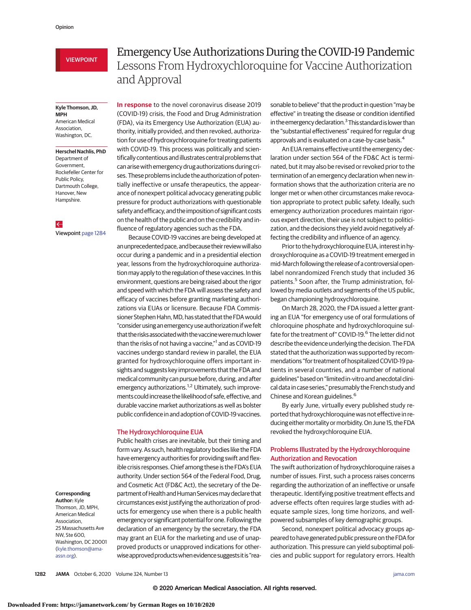# VIEWPOINT

#### **Kyle Thomson, JD, MPH** American Medical Association,

Washington, DC. **Herschel Nachlis, PhD** Department of

Government, Rockefeller Center for Public Policy, Dartmouth College, Hanover, New Hampshire.

 $\leftarrow$ Viewpoint [page 1284](https://jamanetwork.com/journals/jama/fullarticle/10.1001/jama.2020.17101?utm_campaign=articlePDF%26utm_medium=articlePDFlink%26utm_source=articlePDF%26utm_content=jama.2020.16253)

#### **Corresponding**

**Author:** Kyle Thomson, JD, MPH, American Medical Association, 25 Massachusetts Ave NW, Ste 600, Washington, DC 20001 [\(kyle.thomson@ama](mailto:kyle.thomson@ama-assn.org)[assn.org\)](mailto:kyle.thomson@ama-assn.org).

# Emergency Use Authorizations During the COVID-19 Pandemic Lessons From Hydroxychloroquine for Vaccine Authorization and Approval

**In response** to the novel coronavirus disease 2019 (COVID-19) crisis, the Food and Drug Administration (FDA), via its Emergency Use Authorization (EUA) authority, initially provided, and then revoked, authorization for use of hydroxychloroquine for treating patients with COVID-19. This process was politically and scientifically contentious and illustrates central problems that can arise with emergency drug authorizations during crises. These problems include the authorization of potentially ineffective or unsafe therapeutics, the appearance of nonexpert political advocacy generating public pressure for product authorizations with questionable safety and efficacy, and the imposition of significant costs on the health of the public and on the credibility and influence of regulatory agencies such as the FDA.

Because COVID-19 vaccines are being developed at an unprecedented pace, and because their review will also occur during a pandemic and in a presidential election year, lessons from the hydroxychloroquine authorizationmay apply to the regulation of these vaccines. In this environment, questions are being raised about the rigor and speed with which the FDA will assess the safety and efficacy of vaccines before granting marketing authorizations via EUAs or licensure. Because FDA Commissioner Stephen Hahn, MD, has stated that the FDA would "consider using an emergency use authorization if we felt that the risks associated with the vaccine were much lower than the risks of not having a vaccine,"<sup>1</sup> and as COVID-19 vaccines undergo standard review in parallel, the EUA granted for hydroxychloroquine offers important insights and suggests key improvements that the FDA and medical community can pursue before, during, and after emergency authorizations.<sup>1,2</sup> Ultimately, such improvements could increase the likelihood of safe, effective, and durable vaccine market authorizations as well as bolster public confidence in and adoption of COVID-19 vaccines.

### The Hydroxychloroquine EUA

Public health crises are inevitable, but their timing and form vary. As such, health regulatory bodies like the FDA have emergency authorities for providing swift and flexible crisis responses. Chief among these is the FDA's EUA authority. Under section 564 of the Federal Food, Drug, and Cosmetic Act (FD&C Act), the secretary of the Department of Health and Human Services may declare that circumstances exist justifying the authorization of products for emergency use when there is a public health emergency or significant potential for one. Following the declaration of an emergency by the secretary, the FDA may grant an EUA for the marketing and use of unapproved products or unapproved indications for otherwise approved products when evidence suggests it is "reasonable to believe" that the product in question "may be effective" in treating the disease or condition identified in the emergency declaration. $3$  This standard is lower than the "substantial effectiveness" required for regular drug approvals and is evaluated on a case-by-case basis.<sup>4</sup>

An EUA remains effective until the emergency declaration under section 564 of the FD&C Act is terminated, but it may also be revised or revoked prior to the termination of an emergency declaration when new information shows that the authorization criteria are no longer met or when other circumstances make revocation appropriate to protect public safety. Ideally, such emergency authorization procedures maintain rigorous expert direction, their use is not subject to politicization, and the decisions they yield avoid negatively affecting the credibility and influence of an agency.

Prior to the hydroxychloroquine EUA, interest in hydroxychloroquine as a COVID-19 treatment emerged in mid-March following the release of a controversial openlabel nonrandomized French study that included 36 patients.<sup>5</sup> Soon after, the Trump administration, followed by media outlets and segments of the US public, began championing hydroxychloroquine.

On March 28, 2020, the FDA issued a letter granting an EUA "for emergency use of oral formulations of chloroquine phosphate and hydroxychloroquine sulfate for the treatment of" COVID-19.<sup>6</sup> The letter did not describe the evidence underlying the decision. The FDA stated that the authorization was supported by recommendations "for treatment of hospitalized COVID-19 patients in several countries, and a number of national guidelines" based on "limited in-vitro and anecdotal clinical data in case series," presumably the French study and Chinese and Korean guidelines.6

By early June, virtually every published study reported that hydroxychloroquine was not effective in reducing either mortality or morbidity. On June 15, the FDA revoked the hydroxychloroquine EUA.

# Problems Illustrated by the Hydroxychloroquine Authorization and Revocation

The swift authorization of hydroxychloroquine raises a number of issues. First, such a process raises concerns regarding the authorization of an ineffective or unsafe therapeutic. Identifying positive treatment effects and adverse effects often requires large studies with adequate sample sizes, long time horizons, and wellpowered subsamples of key demographic groups.

Second, nonexpert political advocacy groups appeared to have generated public pressure on the FDA for authorization. This pressure can yield suboptimal policies and public support for regulatory errors. Health